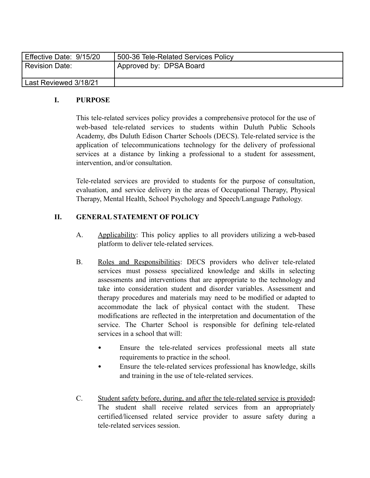| Effective Date: 9/15/20 | 500-36 Tele-Related Services Policy |
|-------------------------|-------------------------------------|
| Revision Date:          | Approved by: DPSA Board             |
|                         |                                     |
| Last Reviewed 3/18/21   |                                     |

## **I. PURPOSE**

This tele-related services policy provides a comprehensive protocol for the use of web-based tele-related services to students within Duluth Public Schools Academy, dbs Duluth Edison Charter Schools (DECS). Tele-related service is the application of telecommunications technology for the delivery of professional services at a distance by linking a professional to a student for assessment, intervention, and/or consultation.

Tele-related services are provided to students for the purpose of consultation, evaluation, and service delivery in the areas of Occupational Therapy, Physical Therapy, Mental Health, School Psychology and Speech/Language Pathology.

## **II. GENERAL STATEMENT OF POLICY**

- A. Applicability: This policy applies to all providers utilizing a web-based platform to deliver tele-related services.
- B. Roles and Responsibilities: DECS providers who deliver tele-related services must possess specialized knowledge and skills in selecting assessments and interventions that are appropriate to the technology and take into consideration student and disorder variables. Assessment and therapy procedures and materials may need to be modified or adapted to accommodate the lack of physical contact with the student. These modifications are reflected in the interpretation and documentation of the service. The Charter School is responsible for defining tele-related services in a school that will:
	- Ensure the tele-related services professional meets all state requirements to practice in the school.
	- Ensure the tele-related services professional has knowledge, skills and training in the use of tele-related services.
- C. Student safety before, during, and after the tele-related service is provided**:** The student shall receive related services from an appropriately certified/licensed related service provider to assure safety during a tele-related services session.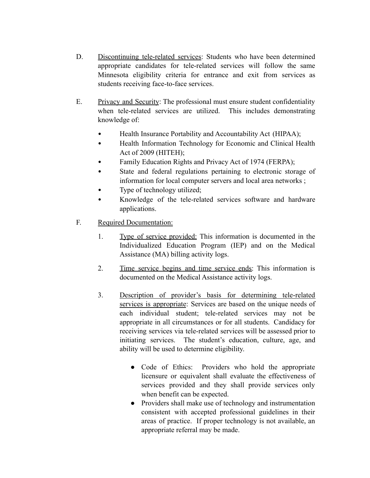- D. Discontinuing tele-related services: Students who have been determined appropriate candidates for tele-related services will follow the same Minnesota eligibility criteria for entrance and exit from services as students receiving face-to-face services.
- E. Privacy and Security: The professional must ensure student confidentiality when tele-related services are utilized. This includes demonstrating knowledge of:
	- Health Insurance Portability and Accountability Act (HIPAA);
	- Health Information Technology for Economic and Clinical Health Act of 2009 (HITEH);
	- Family Education Rights and Privacy Act of 1974 (FERPA);
	- State and federal regulations pertaining to electronic storage of information for local computer servers and local area networks ;
	- Type of technology utilized;
	- Knowledge of the tele-related services software and hardware applications.
- F. Required Documentation:
	- 1. Type of service provided: This information is documented in the Individualized Education Program (IEP) and on the Medical Assistance (MA) billing activity logs.
	- 2. Time service begins and time service ends: This information is documented on the Medical Assistance activity logs.
	- 3. Description of provider's basis for determining tele-related services is appropriate: Services are based on the unique needs of each individual student; tele-related services may not be appropriate in all circumstances or for all students. Candidacy for receiving services via tele-related services will be assessed prior to initiating services. The student's education, culture, age, and ability will be used to determine eligibility.
		- Code of Ethics: Providers who hold the appropriate licensure or equivalent shall evaluate the effectiveness of services provided and they shall provide services only when benefit can be expected.
		- Providers shall make use of technology and instrumentation consistent with accepted professional guidelines in their areas of practice. If proper technology is not available, an appropriate referral may be made.